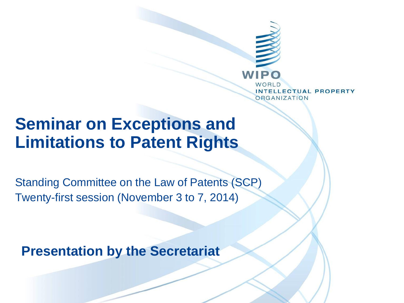

## **Seminar on Exceptions and Limitations to Patent Rights**

Standing Committee on the Law of Patents (SCP) Twenty-first session (November 3 to 7, 2014)

**Presentation by the Secretariat**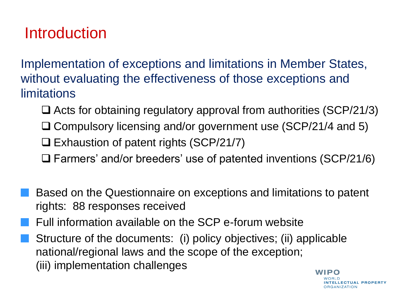## Introduction

Implementation of exceptions and limitations in Member States, without evaluating the effectiveness of those exceptions and limitations

- $\Box$  Acts for obtaining regulatory approval from authorities (SCP/21/3)
- □ Compulsory licensing and/or government use (SCP/21/4 and 5)
- $\Box$  Exhaustion of patent rights (SCP/21/7)
- Farmers' and/or breeders' use of patented inventions (SCP/21/6)
- Based on the Questionnaire on exceptions and limitations to patent rights: 88 responses received
- Full information available on the SCP e-forum website
- Structure of the documents: (i) policy objectives; (ii) applicable national/regional laws and the scope of the exception; (iii) implementation challengesWIPO

*NTELLECTUAL PROPERTY* **RGANIZATION**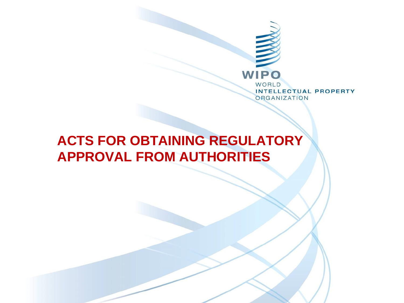

### **ACTS FOR OBTAINING REGULATORY APPROVAL FROM AUTHORITIES**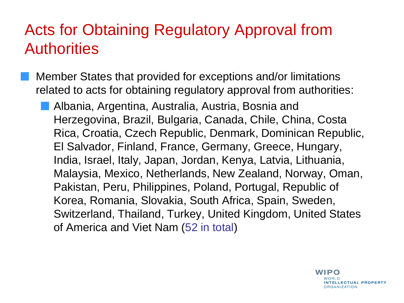Member States that provided for exceptions and/or limitations related to acts for obtaining regulatory approval from authorities:

Albania, Argentina, Australia, Austria, Bosnia and Herzegovina, Brazil, Bulgaria, Canada, Chile, China, Costa Rica, Croatia, Czech Republic, Denmark, Dominican Republic, El Salvador, Finland, France, Germany, Greece, Hungary, India, Israel, Italy, Japan, Jordan, Kenya, Latvia, Lithuania, Malaysia, Mexico, Netherlands, New Zealand, Norway, Oman, Pakistan, Peru, Philippines, Poland, Portugal, Republic of Korea, Romania, Slovakia, South Africa, Spain, Sweden, Switzerland, Thailand, Turkey, United Kingdom, United States of America and Viet Nam (52 in total)

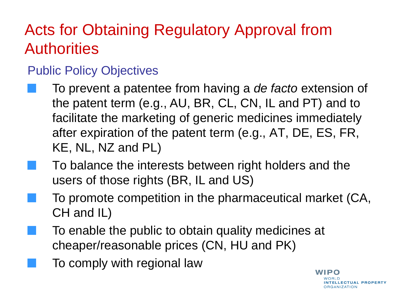#### Public Policy Objectives

- To prevent a patentee from having a *de facto* extension of the patent term (e.g., AU, BR, CL, CN, IL and PT) and to facilitate the marketing of generic medicines immediately after expiration of the patent term (e.g., AT, DE, ES, FR, KE, NL, NZ and PL)
	- To balance the interests between right holders and the users of those rights (BR, IL and US)
- To promote competition in the pharmaceutical market (CA, CH and IL)

WIPO

NTELLECTUAL PROPERTY

**DRGANIZATION** 

- To enable the public to obtain quality medicines at cheaper/reasonable prices (CN, HU and PK)
	- To comply with regional law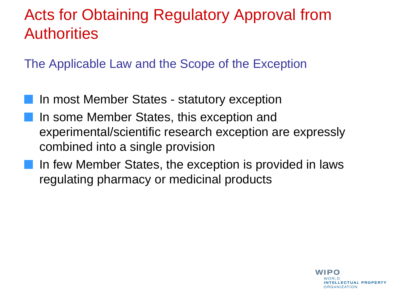The Applicable Law and the Scope of the Exception

- In most Member States statutory exception In some Member States, this exception and experimental/scientific research exception are expressly combined into a single provision
- In few Member States, the exception is provided in laws regulating pharmacy or medicinal products

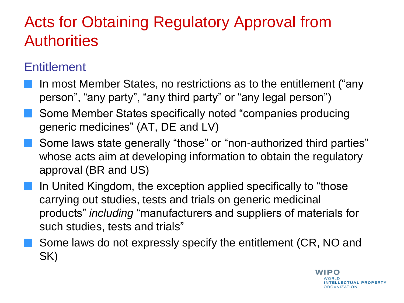#### **Entitlement**

- In most Member States, no restrictions as to the entitlement ("any person", "any party", "any third party" or "any legal person")
- Some Member States specifically noted "companies producing generic medicines" (AT, DE and LV)
- Some laws state generally "those" or "non-authorized third parties" whose acts aim at developing information to obtain the regulatory approval (BR and US)
- In United Kingdom, the exception applied specifically to "those carrying out studies, tests and trials on generic medicinal products" *including* "manufacturers and suppliers of materials for such studies, tests and trials"
- Some laws do not expressly specify the entitlement (CR, NO and SK)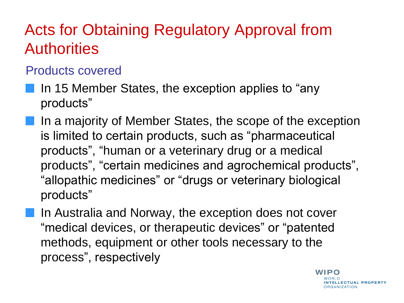#### Products covered

- In 15 Member States, the exception applies to "any products"
- In a majority of Member States, the scope of the exception is limited to certain products, such as "pharmaceutical products", "human or a veterinary drug or a medical products", "certain medicines and agrochemical products", "allopathic medicines" or "drugs or veterinary biological products"
	- In Australia and Norway, the exception does not cover "medical devices, or therapeutic devices" or "patented methods, equipment or other tools necessary to the process", respectively

WIPO **NTELLECTUAL PROPERTY RGANIZATION**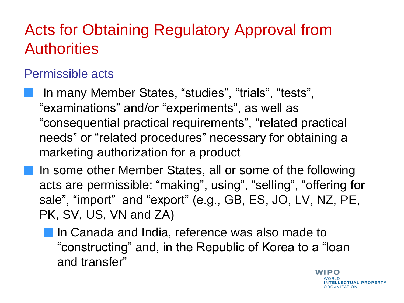#### Permissible acts

In many Member States, "studies", "trials", "tests", "examinations" and/or "experiments", as well as "consequential practical requirements", "related practical needs" or "related procedures" necessary for obtaining a marketing authorization for a product

In some other Member States, all or some of the following acts are permissible: "making", using", "selling", "offering for sale", "import" and "export" (e.g., GB, ES, JO, LV, NZ, PE, PK, SV, US, VN and ZA)

**If** In Canada and India, reference was also made to "constructing" and, in the Republic of Korea to a "loan and transfer"

> WIPO **TELLECTUAL PROPERTY RGANIZATION**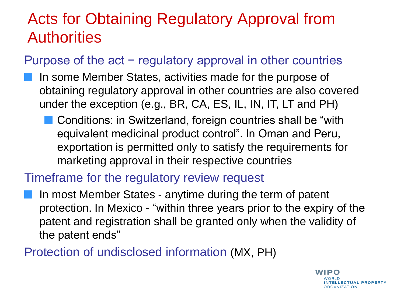#### Purpose of the act – regulatory approval in other countries

- In some Member States, activities made for the purpose of obtaining regulatory approval in other countries are also covered under the exception (e.g., BR, CA, ES, IL, IN, IT, LT and PH)
	- **Conditions: in Switzerland, foreign countries shall be "with**" equivalent medicinal product control". In Oman and Peru, exportation is permitted only to satisfy the requirements for marketing approval in their respective countries

#### Timeframe for the regulatory review request

In most Member States - anytime during the term of patent protection. In Mexico - "within three years prior to the expiry of the patent and registration shall be granted only when the validity of the patent ends"

Protection of undisclosed information (MX, PH)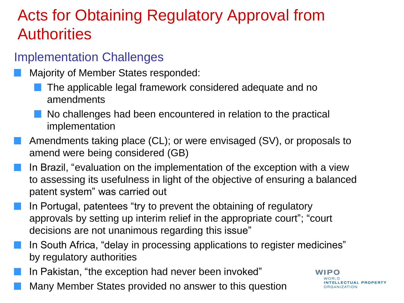#### Implementation Challenges

- Majority of Member States responded:
	- The applicable legal framework considered adequate and no amendments
	- No challenges had been encountered in relation to the practical implementation
- Amendments taking place (CL); or were envisaged (SV), or proposals to amend were being considered (GB)
- In Brazil, "evaluation on the implementation of the exception with a view to assessing its usefulness in light of the objective of ensuring a balanced patent system" was carried out
- In Portugal, patentees "try to prevent the obtaining of regulatory approvals by setting up interim relief in the appropriate court"; "court decisions are not unanimous regarding this issue"
- In South Africa, "delay in processing applications to register medicines" by regulatory authorities
- In Pakistan, "the exception had never been invoked"
- Many Member States provided no answer to this question

#### WIPO

NTELLECTUAL PROPERTY **RGANIZATION**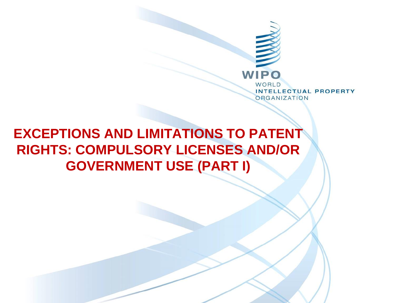

### **EXCEPTIONS AND LIMITATIONS TO PATENT RIGHTS: COMPULSORY LICENSES AND/OR GOVERNMENT USE (PART I)**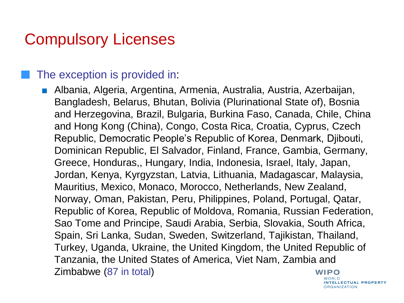#### The exception is provided in:

■ Albania, Algeria, Argentina, Armenia, Australia, Austria, Azerbaijan, Bangladesh, Belarus, Bhutan, Bolivia (Plurinational State of), Bosnia and Herzegovina, Brazil, Bulgaria, Burkina Faso, Canada, Chile, China and Hong Kong (China), Congo, Costa Rica, Croatia, Cyprus, Czech Republic, Democratic People's Republic of Korea, Denmark, Djibouti, Dominican Republic, El Salvador, Finland, France, Gambia, Germany, Greece, Honduras,, Hungary, India, Indonesia, Israel, Italy, Japan, Jordan, Kenya, Kyrgyzstan, Latvia, Lithuania, Madagascar, Malaysia, Mauritius, Mexico, Monaco, Morocco, Netherlands, New Zealand, Norway, Oman, Pakistan, Peru, Philippines, Poland, Portugal, Qatar, Republic of Korea, Republic of Moldova, Romania, Russian Federation, Sao Tome and Principe, Saudi Arabia, Serbia, Slovakia, South Africa, Spain, Sri Lanka, Sudan, Sweden, Switzerland, Tajikistan, Thailand, Turkey, Uganda, Ukraine, the United Kingdom, the United Republic of Tanzania, the United States of America, Viet Nam, Zambia and Zimbabwe (87 in total)**WIPO** WORLD

**INTELLECTUAL PROPERTY ORGANIZATION**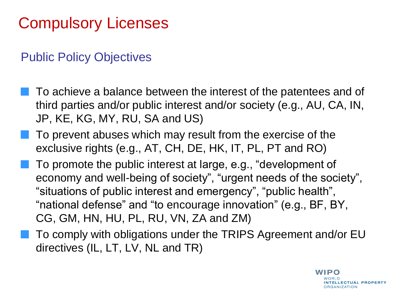#### Public Policy Objectives

- To achieve a balance between the interest of the patentees and of third parties and/or public interest and/or society (e.g., AU, CA, IN, JP, KE, KG, MY, RU, SA and US)
- To prevent abuses which may result from the exercise of the exclusive rights (e.g., AT, CH, DE, HK, IT, PL, PT and RO)
- To promote the public interest at large, e.g., "development of economy and well-being of society", "urgent needs of the society", "situations of public interest and emergency", "public health", "national defense" and "to encourage innovation" (e.g., BF, BY, CG, GM, HN, HU, PL, RU, VN, ZA and ZM)
- To comply with obligations under the TRIPS Agreement and/or EU directives (IL, LT, LV, NL and TR)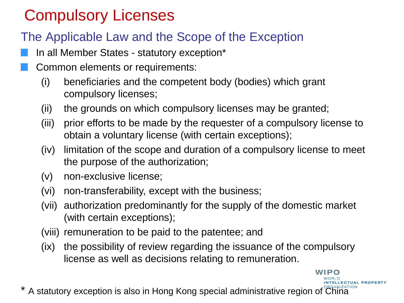#### The Applicable Law and the Scope of the Exception

- In all Member States statutory exception\*
- Common elements or requirements:
	- (i) beneficiaries and the competent body (bodies) which grant compulsory licenses;
	- (ii) the grounds on which compulsory licenses may be granted;
	- (iii) prior efforts to be made by the requester of a compulsory license to obtain a voluntary license (with certain exceptions);
	- (iv) limitation of the scope and duration of a compulsory license to meet the purpose of the authorization;
	- (v) non-exclusive license;
	- (vi) non-transferability, except with the business;
	- (vii) authorization predominantly for the supply of the domestic market (with certain exceptions);
	- (viii) remuneration to be paid to the patentee; and
	- (ix) the possibility of review regarding the issuance of the compulsory license as well as decisions relating to remuneration.

WIPO

**NTELLECTUAL PROPERT** 

A statutory exception is also in Hong Kong special administrative region of China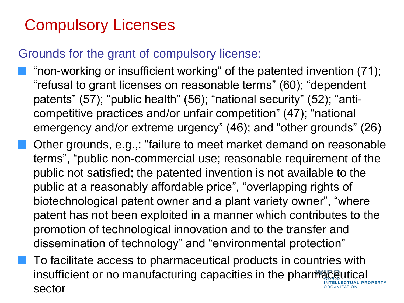#### Grounds for the grant of compulsory license:

- "non-working or insufficient working" of the patented invention (71); "refusal to grant licenses on reasonable terms" (60); "dependent patents" (57); "public health" (56); "national security" (52); "anticompetitive practices and/or unfair competition" (47); "national emergency and/or extreme urgency" (46); and "other grounds" (26)
- Other grounds, e.g.,: "failure to meet market demand on reasonable terms", "public non-commercial use; reasonable requirement of the public not satisfied; the patented invention is not available to the public at a reasonably affordable price", "overlapping rights of biotechnological patent owner and a plant variety owner", "where patent has not been exploited in a manner which contributes to the promotion of technological innovation and to the transfer and dissemination of technology" and "environmental protection"
	- To facilitate access to pharmaceutical products in countries with insufficient or no manufacturing capacities in the pharmaceutical sector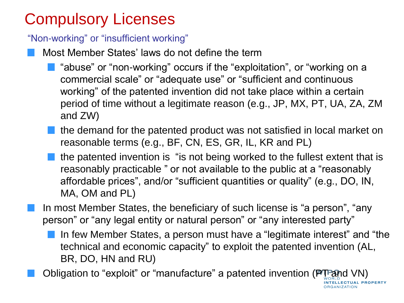"Non-working" or "insufficient working"

- Most Member States' laws do not define the term
	- **T** "abuse" or "non-working" occurs if the "exploitation", or "working on a commercial scale" or "adequate use" or "sufficient and continuous working" of the patented invention did not take place within a certain period of time without a legitimate reason (e.g., JP, MX, PT, UA, ZA, ZM and ZW)
	- the demand for the patented product was not satisfied in local market on reasonable terms (e.g., BF, CN, ES, GR, IL, KR and PL)
	- the patented invention is "is not being worked to the fullest extent that is reasonably practicable " or not available to the public at a "reasonably affordable prices", and/or "sufficient quantities or quality" (e.g., DO, IN, MA, OM and PL)
- In most Member States, the beneficiary of such license is "a person", "any person" or "any legal entity or natural person" or "any interested party"
	- In few Member States, a person must have a "legitimate interest" and "the technical and economic capacity" to exploit the patented invention (AL, BR, DO, HN and RU)

**LLECTUAL PROPERTY** 

**RGANIZATION** 

Obligation to "exploit" or "manufacture" a patented invention (PT and VN)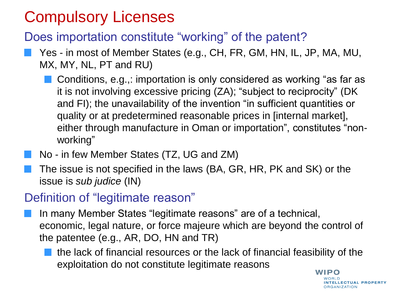#### Does importation constitute "working" of the patent?

- Yes in most of Member States (e.g., CH, FR, GM, HN, IL, JP, MA, MU, MX, MY, NL, PT and RU)
	- Conditions, e.g.,: importation is only considered as working "as far as it is not involving excessive pricing (ZA); "subject to reciprocity" (DK and FI); the unavailability of the invention "in sufficient quantities or quality or at predetermined reasonable prices in [internal market], either through manufacture in Oman or importation", constitutes "nonworking"
- No in few Member States (TZ, UG and ZM)
- The issue is not specified in the laws (BA, GR, HR, PK and SK) or the issue is *sub judice* (IN)

#### Definition of "legitimate reason"

- In many Member States "legitimate reasons" are of a technical, economic, legal nature, or force majeure which are beyond the control of the patentee (e.g., AR, DO, HN and TR)
	- the lack of financial resources or the lack of financial feasibility of the exploitation do not constitute legitimate reasons

**WIPO** NTELLECTUAL PROPERTY **ORGANIZATION**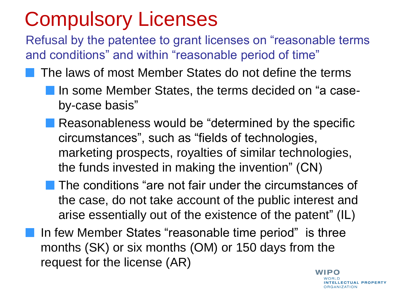Refusal by the patentee to grant licenses on "reasonable terms and conditions" and within "reasonable period of time"

- The laws of most Member States do not define the terms
	- In some Member States, the terms decided on "a caseby-case basis"
	- **Reasonableness would be "determined by the specific** circumstances", such as "fields of technologies, marketing prospects, royalties of similar technologies, the funds invested in making the invention" (CN)
	- The conditions "are not fair under the circumstances of the case, do not take account of the public interest and arise essentially out of the existence of the patent" (IL)
- In few Member States "reasonable time period" is three months (SK) or six months (OM) or 150 days from the request for the license (AR)

WIPO **NTELLECTUAL PROPERTY RGANIZATION**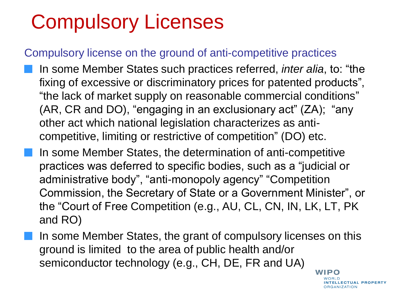#### Compulsory license on the ground of anti-competitive practices

- In some Member States such practices referred, *inter alia*, to: "the fixing of excessive or discriminatory prices for patented products", "the lack of market supply on reasonable commercial conditions" (AR, CR and DO), "engaging in an exclusionary act" (ZA); "any other act which national legislation characterizes as anticompetitive, limiting or restrictive of competition" (DO) etc.
- In some Member States, the determination of anti-competitive practices was deferred to specific bodies, such as a "judicial or administrative body", "anti-monopoly agency" "Competition Commission, the Secretary of State or a Government Minister", or the "Court of Free Competition (e.g., AU, CL, CN, IN, LK, LT, PK and RO)
- In some Member States, the grant of compulsory licenses on this ground is limited to the area of public health and/or semiconductor technology (e.g., CH, DE, FR and UA)

**WIPO** WORLD **INTELLECTUAL PROPERTY ORGANIZATION**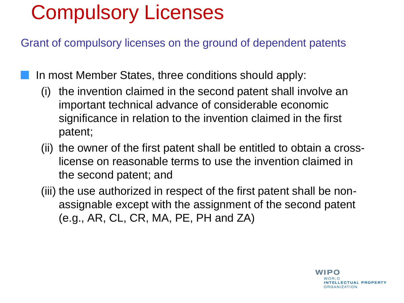Grant of compulsory licenses on the ground of dependent patents

In most Member States, three conditions should apply:

- (i) the invention claimed in the second patent shall involve an important technical advance of considerable economic significance in relation to the invention claimed in the first patent;
- (ii) the owner of the first patent shall be entitled to obtain a crosslicense on reasonable terms to use the invention claimed in the second patent; and
- (iii) the use authorized in respect of the first patent shall be nonassignable except with the assignment of the second patent (e.g., AR, CL, CR, MA, PE, PH and ZA)

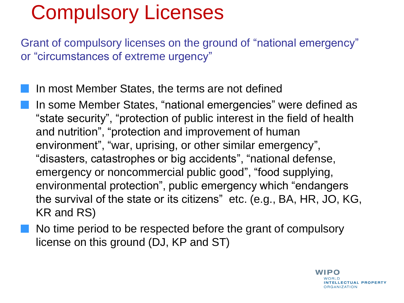Grant of compulsory licenses on the ground of "national emergency" or "circumstances of extreme urgency"

- In most Member States, the terms are not defined
	- In some Member States, "national emergencies" were defined as "state security", "protection of public interest in the field of health and nutrition", "protection and improvement of human environment", "war, uprising, or other similar emergency", "disasters, catastrophes or big accidents", "national defense, emergency or noncommercial public good", "food supplying, environmental protection", public emergency which "endangers the survival of the state or its citizens" etc. (e.g., BA, HR, JO, KG, KR and RS)
- No time period to be respected before the grant of compulsory license on this ground (DJ, KP and ST)

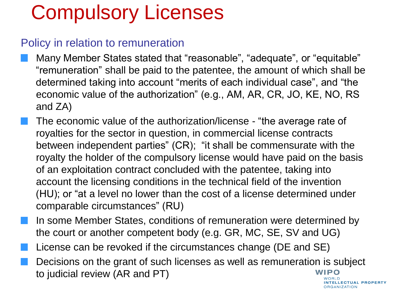#### Policy in relation to remuneration

- Many Member States stated that "reasonable", "adequate", or "equitable" "remuneration" shall be paid to the patentee, the amount of which shall be determined taking into account "merits of each individual case", and "the economic value of the authorization" (e.g., AM, AR, CR, JO, KE, NO, RS and ZA)
- The economic value of the authorization/license "the average rate of royalties for the sector in question, in commercial license contracts between independent parties" (CR); "it shall be commensurate with the royalty the holder of the compulsory license would have paid on the basis of an exploitation contract concluded with the patentee, taking into account the licensing conditions in the technical field of the invention (HU); or "at a level no lower than the cost of a license determined under comparable circumstances" (RU)
- In some Member States, conditions of remuneration were determined by the court or another competent body (e.g. GR, MC, SE, SV and UG)
- License can be revoked if the circumstances change (DE and SE)
- Decisions on the grant of such licenses as well as remuneration is subject to judicial review (AR and PT)WIPO WORLD

NTELLECTUAL PROPERTY **DRGANIZATION**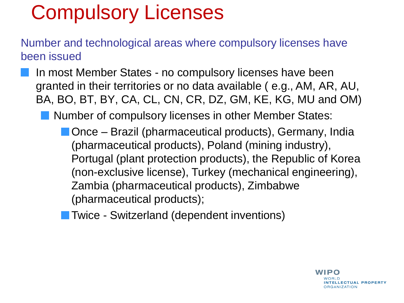Number and technological areas where compulsory licenses have been issued

In most Member States - no compulsory licenses have been granted in their territories or no data available ( e.g., AM, AR, AU, BA, BO, BT, BY, CA, CL, CN, CR, DZ, GM, KE, KG, MU and OM)

Number of compulsory licenses in other Member States:

- Once Brazil (pharmaceutical products), Germany, India (pharmaceutical products), Poland (mining industry), Portugal (plant protection products), the Republic of Korea (non-exclusive license), Turkey (mechanical engineering), Zambia (pharmaceutical products), Zimbabwe (pharmaceutical products);
- Twice Switzerland (dependent inventions)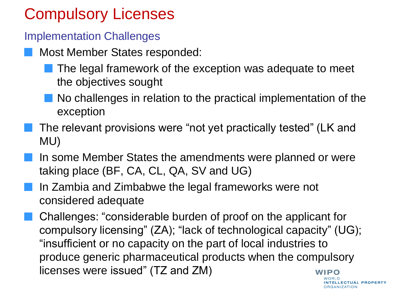#### Implementation Challenges

- Most Member States responded:
	- The legal framework of the exception was adequate to meet the objectives sought
	- No challenges in relation to the practical implementation of the exception
- The relevant provisions were "not yet practically tested" (LK and MU)
- In some Member States the amendments were planned or were taking place (BF, CA, CL, QA, SV and UG)
- In Zambia and Zimbabwe the legal frameworks were not considered adequate

Challenges: "considerable burden of proof on the applicant for compulsory licensing" (ZA); "lack of technological capacity" (UG); "insufficient or no capacity on the part of local industries to produce generic pharmaceutical products when the compulsory licenses were issued" (TZ and ZM)WIPO

NTELLECTUAL PROPERTY **RGANIZATION**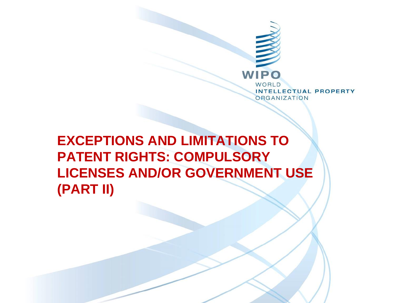

**EXCEPTIONS AND LIMITATIONS TO PATENT RIGHTS: COMPULSORY LICENSES AND/OR GOVERNMENT USE (PART II)**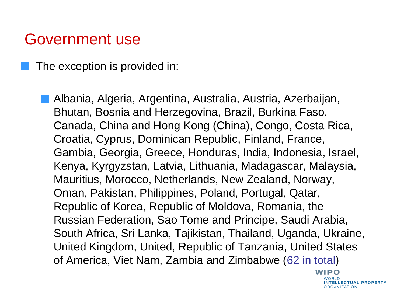The exception is provided in:

Albania, Algeria, Argentina, Australia, Austria, Azerbaijan, Bhutan, Bosnia and Herzegovina, Brazil, Burkina Faso, Canada, China and Hong Kong (China), Congo, Costa Rica, Croatia, Cyprus, Dominican Republic, Finland, France, Gambia, Georgia, Greece, Honduras, India, Indonesia, Israel, Kenya, Kyrgyzstan, Latvia, Lithuania, Madagascar, Malaysia, Mauritius, Morocco, Netherlands, New Zealand, Norway, Oman, Pakistan, Philippines, Poland, Portugal, Qatar, Republic of Korea, Republic of Moldova, Romania, the Russian Federation, Sao Tome and Principe, Saudi Arabia, South Africa, Sri Lanka, Tajikistan, Thailand, Uganda, Ukraine, United Kingdom, United, Republic of Tanzania, United States of America, Viet Nam, Zambia and Zimbabwe (62 in total)

> WIPO **NOBID** NTELLECTUAL PROPERTY **DRGANIZATION**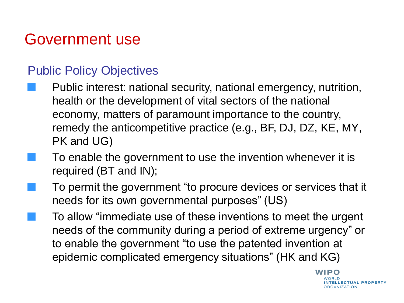#### Public Policy Objectives

- Public interest: national security, national emergency, nutrition, health or the development of vital sectors of the national economy, matters of paramount importance to the country, remedy the anticompetitive practice (e.g., BF, DJ, DZ, KE, MY, PK and UG)
	- To enable the government to use the invention whenever it is required (BT and IN);
	- To permit the government "to procure devices or services that it needs for its own governmental purposes" (US)
		- To allow "immediate use of these inventions to meet the urgent needs of the community during a period of extreme urgency" or to enable the government "to use the patented invention at epidemic complicated emergency situations" (HK and KG)

WIPO NTELLECTUAL PROPERTY **RGANIZATION**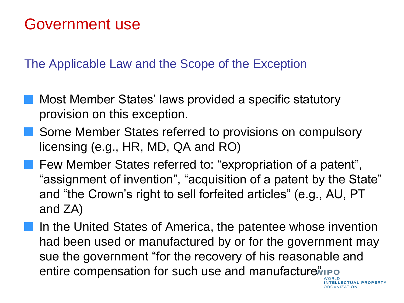The Applicable Law and the Scope of the Exception

- Most Member States' laws provided a specific statutory provision on this exception.
- Some Member States referred to provisions on compulsory licensing (e.g., HR, MD, QA and RO)
- Few Member States referred to: "expropriation of a patent", "assignment of invention", "acquisition of a patent by the State" and "the Crown's right to sell forfeited articles" (e.g., AU, PT and ZA)
- In the United States of America, the patentee whose invention had been used or manufactured by or for the government may sue the government "for the recovery of his reasonable and entire compensation for such use and manufacture *ino*

**LLECTUAL PROPERTY** 

**ORGANIZATION**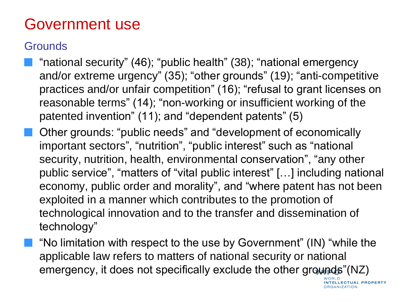#### **Grounds**

- "national security" (46); "public health" (38); "national emergency and/or extreme urgency" (35); "other grounds" (19); "anti-competitive practices and/or unfair competition" (16); "refusal to grant licenses on reasonable terms" (14); "non-working or insufficient working of the patented invention" (11); and "dependent patents" (5)
- Other grounds: "public needs" and "development of economically important sectors", "nutrition", "public interest" such as "national security, nutrition, health, environmental conservation", "any other public service", "matters of "vital public interest" […] including national economy, public order and morality", and "where patent has not been exploited in a manner which contributes to the promotion of technological innovation and to the transfer and dissemination of technology"
- "No limitation with respect to the use by Government" (IN) "while the applicable law refers to matters of national security or national emergency, it does not specifically exclude the other grounds"(NZ)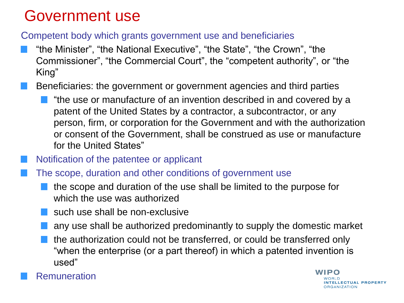#### Competent body which grants government use and beneficiaries

- "the Minister", "the National Executive", "the State", "the Crown", "the Commissioner", "the Commercial Court", the "competent authority", or "the King"
- Beneficiaries: the government or government agencies and third parties
	- "the use or manufacture of an invention described in and covered by a patent of the United States by a contractor, a subcontractor, or any person, firm, or corporation for the Government and with the authorization or consent of the Government, shall be construed as use or manufacture for the United States"
- Notification of the patentee or applicant
- The scope, duration and other conditions of government use
	- the scope and duration of the use shall be limited to the purpose for which the use was authorized
	- such use shall be non-exclusive
	- any use shall be authorized predominantly to supply the domestic market
	- the authorization could not be transferred, or could be transferred only "when the enterprise (or a part thereof) in which a patented invention is used"



WIPO NTELLECTUAL PROPERTY **DRGANIZATION**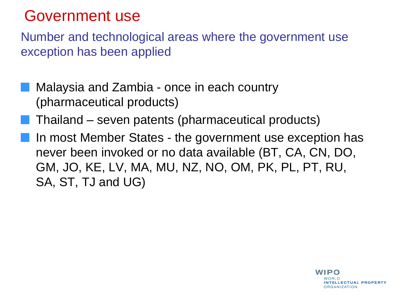Number and technological areas where the government use exception has been applied

- Malaysia and Zambia once in each country (pharmaceutical products)
- Thailand seven patents (pharmaceutical products)
- In most Member States the government use exception has never been invoked or no data available (BT, CA, CN, DO, GM, JO, KE, LV, MA, MU, NZ, NO, OM, PK, PL, PT, RU, SA, ST, TJ and UG)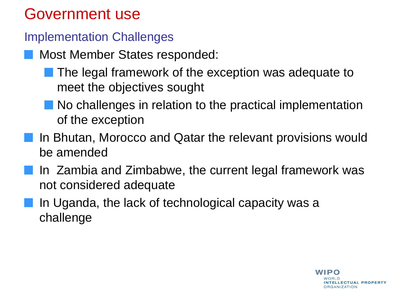#### Implementation Challenges

- Most Member States responded:
	- The legal framework of the exception was adequate to meet the objectives sought
	- No challenges in relation to the practical implementation of the exception
- In Bhutan, Morocco and Qatar the relevant provisions would be amended
- In Zambia and Zimbabwe, the current legal framework was not considered adequate
- In Uganda, the lack of technological capacity was a challenge

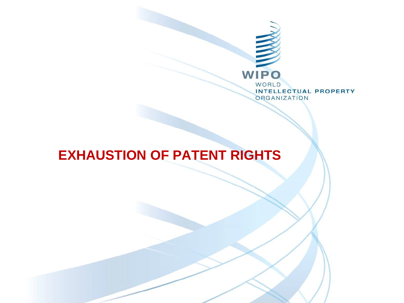

#### **EXHAUSTION OF PATENT RIGHTS**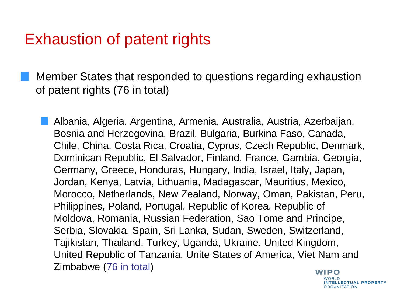Member States that responded to questions regarding exhaustion of patent rights (76 in total)

Albania, Algeria, Argentina, Armenia, Australia, Austria, Azerbaijan, Bosnia and Herzegovina, Brazil, Bulgaria, Burkina Faso, Canada, Chile, China, Costa Rica, Croatia, Cyprus, Czech Republic, Denmark, Dominican Republic, El Salvador, Finland, France, Gambia, Georgia, Germany, Greece, Honduras, Hungary, India, Israel, Italy, Japan, Jordan, Kenya, Latvia, Lithuania, Madagascar, Mauritius, Mexico, Morocco, Netherlands, New Zealand, Norway, Oman, Pakistan, Peru, Philippines, Poland, Portugal, Republic of Korea, Republic of Moldova, Romania, Russian Federation, Sao Tome and Principe, Serbia, Slovakia, Spain, Sri Lanka, Sudan, Sweden, Switzerland, Tajikistan, Thailand, Turkey, Uganda, Ukraine, United Kingdom, United Republic of Tanzania, Unite States of America, Viet Nam and Zimbabwe (76 in total)**WIPO** 

**NORID** NTELLECTUAL PROPERTY **ORGANIZATION**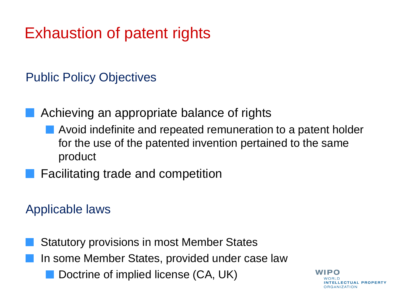Public Policy Objectives

Achieving an appropriate balance of rights

- Avoid indefinite and repeated remuneration to a patent holder for the use of the patented invention pertained to the same product
- Facilitating trade and competition

Applicable laws

Statutory provisions in most Member States In some Member States, provided under case law Doctrine of implied license (CA, UK)

WIPO NTELLECTUAL PROPERTY ORGANIZATION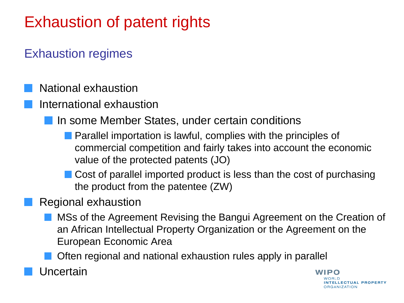#### Exhaustion regimes

- National exhaustion
- International exhaustion
	- In some Member States, under certain conditions
		- **Parallel importation is lawful, complies with the principles of** commercial competition and fairly takes into account the economic value of the protected patents (JO)
		- Cost of parallel imported product is less than the cost of purchasing the product from the patentee (ZW)
- Regional exhaustion
	- MSs of the Agreement Revising the Bangui Agreement on the Creation of an African Intellectual Property Organization or the Agreement on the European Economic Area
	- Often regional and national exhaustion rules apply in parallel
- Uncertain

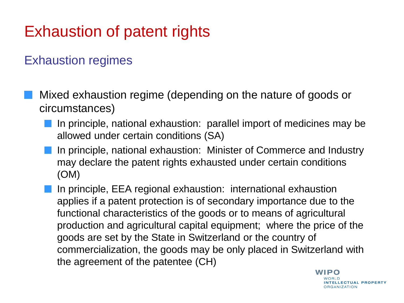#### Exhaustion regimes

- Mixed exhaustion regime (depending on the nature of goods or circumstances)
	- In principle, national exhaustion: parallel import of medicines may be allowed under certain conditions (SA)
	- In principle, national exhaustion: Minister of Commerce and Industry may declare the patent rights exhausted under certain conditions (OM)
	- In principle, EEA regional exhaustion: international exhaustion applies if a patent protection is of secondary importance due to the functional characteristics of the goods or to means of agricultural production and agricultural capital equipment; where the price of the goods are set by the State in Switzerland or the country of commercialization, the goods may be only placed in Switzerland with the agreement of the patentee (CH)

WIPO NTELLECTUAL PROPERTY **ORGANIZATION**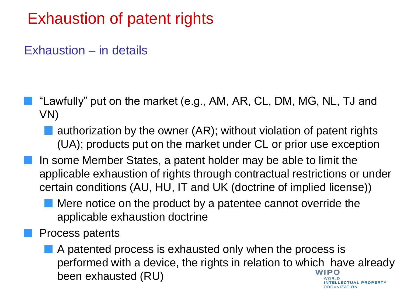#### Exhaustion – in details

- "Lawfully" put on the market (e.g., AM, AR, CL, DM, MG, NL, TJ and VN)
	- authorization by the owner (AR); without violation of patent rights (UA); products put on the market under CL or prior use exception
- In some Member States, a patent holder may be able to limit the applicable exhaustion of rights through contractual restrictions or under certain conditions (AU, HU, IT and UK (doctrine of implied license))
	- Mere notice on the product by a patentee cannot override the applicable exhaustion doctrine
- Process patents
	- A patented process is exhausted only when the process is performed with a device, the rights in relation to which have already been exhausted (RU)**ELLECTUAL PROPERTY**

**RGANIZATION**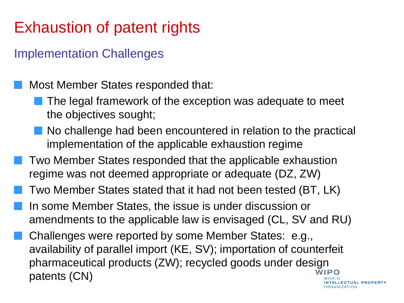#### Implementation Challenges

Most Member States responded that:

- The legal framework of the exception was adequate to meet the objectives sought;
- No challenge had been encountered in relation to the practical implementation of the applicable exhaustion regime
- Two Member States responded that the applicable exhaustion regime was not deemed appropriate or adequate (DZ, ZW)
- Two Member States stated that it had not been tested (BT, LK)
- In some Member States, the issue is under discussion or amendments to the applicable law is envisaged (CL, SV and RU)
- Challenges were reported by some Member States: e.g., availability of parallel import (KE, SV); importation of counterfeit pharmaceutical products (ZW); recycled goods under design WIPO patents (CN)NTELLECTUAL PROPERTY

**ORGANIZATION**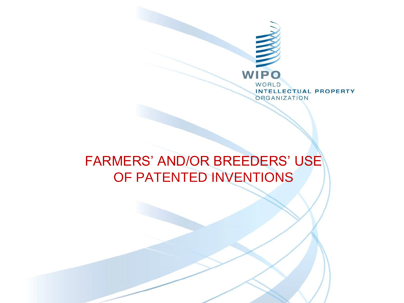

### FARMERS' AND/OR BREEDERS' USE OF PATENTED INVENTIONS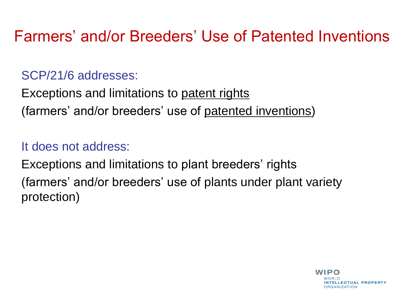#### SCP/21/6 addresses:

Exceptions and limitations to patent rights (farmers' and/or breeders' use of patented inventions)

#### It does not address:

Exceptions and limitations to plant breeders' rights (farmers' and/or breeders' use of plants under plant variety protection)

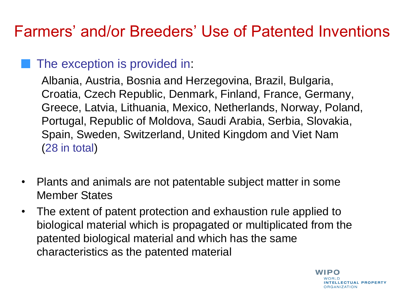#### The exception is provided in:

Albania, Austria, Bosnia and Herzegovina, Brazil, Bulgaria, Croatia, Czech Republic, Denmark, Finland, France, Germany, Greece, Latvia, Lithuania, Mexico, Netherlands, Norway, Poland, Portugal, Republic of Moldova, Saudi Arabia, Serbia, Slovakia, Spain, Sweden, Switzerland, United Kingdom and Viet Nam (28 in total)

- Plants and animals are not patentable subject matter in some Member States
- The extent of patent protection and exhaustion rule applied to biological material which is propagated or multiplicated from the patented biological material and which has the same characteristics as the patented material

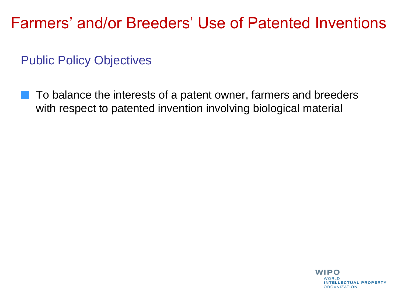Public Policy Objectives

To balance the interests of a patent owner, farmers and breeders with respect to patented invention involving biological material

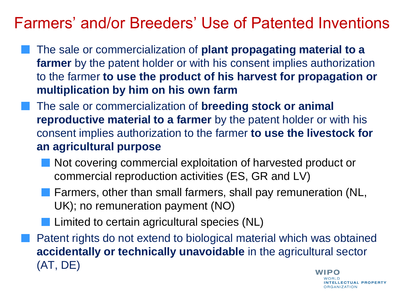- The sale or commercialization of **plant propagating material to a farmer** by the patent holder or with his consent implies authorization to the farmer **to use the product of his harvest for propagation or multiplication by him on his own farm**
	- The sale or commercialization of **breeding stock or animal reproductive material to a farmer** by the patent holder or with his consent implies authorization to the farmer **to use the livestock for an agricultural purpose**
		- Not covering commercial exploitation of harvested product or commercial reproduction activities (ES, GR and LV)
		- **Farmers, other than small farmers, shall pay remuneration (NL,** UK); no remuneration payment (NO)
		- **Limited to certain agricultural species (NL)**

Patent rights do not extend to biological material which was obtained **accidentally or technically unavoidable** in the agricultural sector (AT, DE)

WIPO NTELLECTUAL PROPERTY **DRGANIZATION**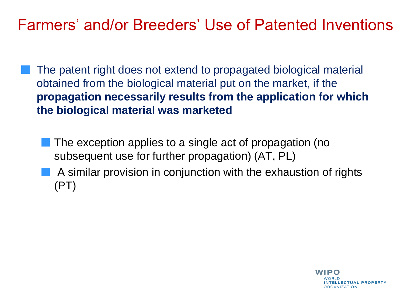- The patent right does not extend to propagated biological material obtained from the biological material put on the market, if the **propagation necessarily results from the application for which the biological material was marketed**
	- **The exception applies to a single act of propagation (no** subsequent use for further propagation) (AT, PL) A similar provision in conjunction with the exhaustion of rights (PT)

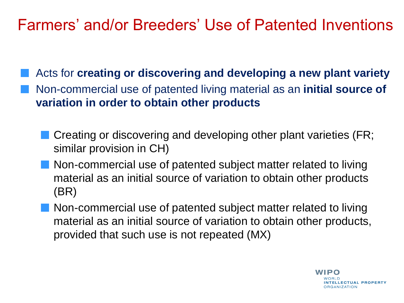Acts for **creating or discovering and developing a new plant variety** Non-commercial use of patented living material as an **initial source of variation in order to obtain other products**

- Creating or discovering and developing other plant varieties (FR; similar provision in CH)
- Non-commercial use of patented subject matter related to living material as an initial source of variation to obtain other products (BR)
- Non-commercial use of patented subject matter related to living material as an initial source of variation to obtain other products, provided that such use is not repeated (MX)

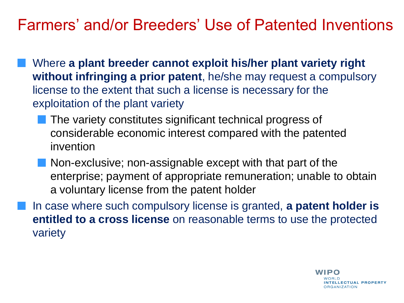- Where **a plant breeder cannot exploit his/her plant variety right without infringing a prior patent**, he/she may request a compulsory license to the extent that such a license is necessary for the exploitation of the plant variety
	- The variety constitutes significant technical progress of considerable economic interest compared with the patented invention
	- **Non-exclusive**; non-assignable except with that part of the enterprise; payment of appropriate remuneration; unable to obtain a voluntary license from the patent holder
- In case where such compulsory license is granted, **a patent holder is entitled to a cross license** on reasonable terms to use the protected variety